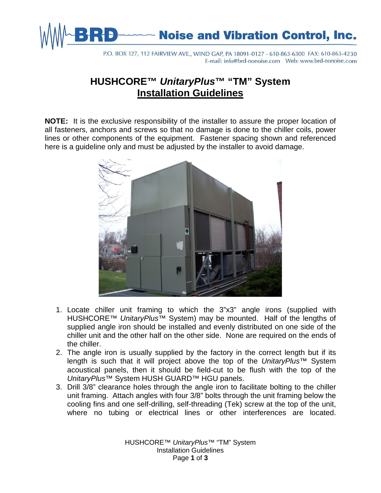

P.O. BOX 127, 112 FAIRVIEW AVE., WIND GAP, PA 18091-0127 - 610-863-6300 FAX: 610-863-4230 

## **HUSHCORE™** *UnitaryPlus***™ "TM" System Installation Guidelines**

**NOTE:** It is the exclusive responsibility of the installer to assure the proper location of all fasteners, anchors and screws so that no damage is done to the chiller coils, power lines or other components of the equipment. Fastener spacing shown and referenced here is a guideline only and must be adjusted by the installer to avoid damage.



- 1. Locate chiller unit framing to which the 3"x3" angle irons (supplied with HUSHCORE™ *UnitaryPlus*™ System) may be mounted. Half of the lengths of supplied angle iron should be installed and evenly distributed on one side of the chiller unit and the other half on the other side. None are required on the ends of the chiller.
- 2. The angle iron is usually supplied by the factory in the correct length but if its length is such that it will project above the top of the *UnitaryPlus™* System acoustical panels, then it should be field-cut to be flush with the top of the *UnitaryPlus*™ System HUSH GUARD™ HGU panels.
- 3. Drill 3/8" clearance holes through the angle iron to facilitate bolting to the chiller unit framing. Attach angles with four 3/8" bolts through the unit framing below the cooling fins and one self-drilling, self-threading (Tek) screw at the top of the unit, where no tubing or electrical lines or other interferences are located.

HUSHCORE™ *UnitaryPlus*™ "TM" System Installation Guidelines Page **1** of **3**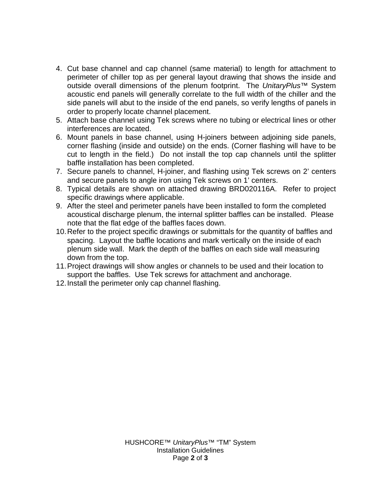- 4. Cut base channel and cap channel (same material) to length for attachment to perimeter of chiller top as per general layout drawing that shows the inside and outside overall dimensions of the plenum footprint. The *UnitaryPlus*™ System acoustic end panels will generally correlate to the full width of the chiller and the side panels will abut to the inside of the end panels, so verify lengths of panels in order to properly locate channel placement.
- 5. Attach base channel using Tek screws where no tubing or electrical lines or other interferences are located.
- 6. Mount panels in base channel, using H-joiners between adjoining side panels, corner flashing (inside and outside) on the ends. (Corner flashing will have to be cut to length in the field.) Do not install the top cap channels until the splitter baffle installation has been completed.
- 7. Secure panels to channel, H-joiner, and flashing using Tek screws on 2' centers and secure panels to angle iron using Tek screws on 1' centers.
- 8. Typical details are shown on attached drawing BRD020116A. Refer to project specific drawings where applicable.
- 9. After the steel and perimeter panels have been installed to form the completed acoustical discharge plenum, the internal splitter baffles can be installed. Please note that the flat edge of the baffles faces down.
- 10.Refer to the project specific drawings or submittals for the quantity of baffles and spacing. Layout the baffle locations and mark vertically on the inside of each plenum side wall. Mark the depth of the baffles on each side wall measuring down from the top.
- 11.Project drawings will show angles or channels to be used and their location to support the baffles. Use Tek screws for attachment and anchorage.
- 12.Install the perimeter only cap channel flashing.